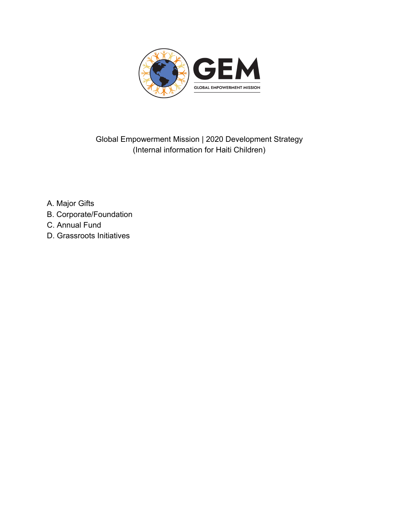

Global Empowerment Mission | 2020 Development Strategy (Internal information for Haiti Children)

- A. Major Gifts
- B. Corporate/Foundation
- C. Annual Fund
- D. Grassroots Initiatives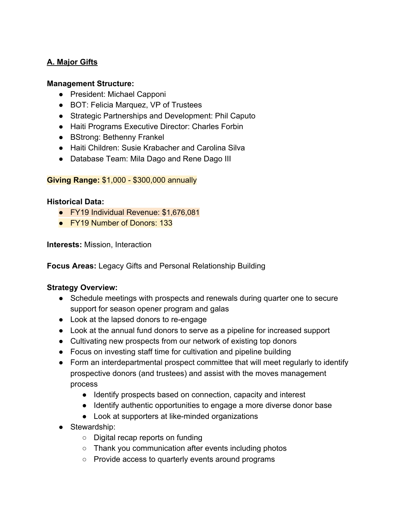# **A. Major Gifts**

### **Management Structure:**

- President: Michael Capponi
- BOT: Felicia Marquez, VP of Trustees
- Strategic Partnerships and Development: Phil Caputo
- Haiti Programs Executive Director: Charles Forbin
- BStrong: Bethenny Frankel
- Haiti Children: Susie Krabacher and Carolina Silva
- Database Team: Mila Dago and Rene Dago III

### **Giving Range:** \$1,000 - \$300,000 annually

### **Historical Data:**

- FY19 Individual Revenue: \$1,676,081
- FY19 Number of Donors: 133

**Interests:** Mission, Interaction

**Focus Areas:** Legacy Gifts and Personal Relationship Building

## **Strategy Overview:**

- Schedule meetings with prospects and renewals during quarter one to secure support for season opener program and galas
- Look at the lapsed donors to re-engage
- Look at the annual fund donors to serve as a pipeline for increased support
- Cultivating new prospects from our network of existing top donors
- Focus on investing staff time for cultivation and pipeline building
- Form an interdepartmental prospect committee that will meet regularly to identify prospective donors (and trustees) and assist with the moves management process
	- Identify prospects based on connection, capacity and interest
	- Identify authentic opportunities to engage a more diverse donor base
	- Look at supporters at like-minded organizations
- Stewardship:
	- Digital recap reports on funding
	- Thank you communication after events including photos
	- Provide access to quarterly events around programs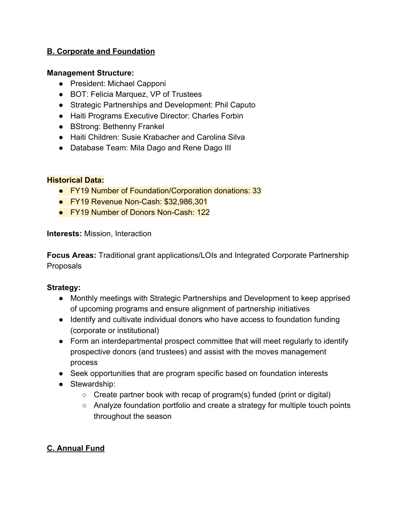## **B. Corporate and Foundation**

### **Management Structure:**

- President: Michael Capponi
- BOT: Felicia Marquez, VP of Trustees
- Strategic Partnerships and Development: Phil Caputo
- Haiti Programs Executive Director: Charles Forbin
- BStrong: Bethenny Frankel
- Haiti Children: Susie Krabacher and Carolina Silva
- Database Team: Mila Dago and Rene Dago III

### **Historical Data:**

- FY19 Number of Foundation/Corporation donations: 33
- FY19 Revenue Non-Cash: \$32,986,301
- FY19 Number of Donors Non-Cash: 122

**Interests:** Mission, Interaction

**Focus Areas:** Traditional grant applications/LOIs and Integrated Corporate Partnership Proposals

### **Strategy:**

- Monthly meetings with Strategic Partnerships and Development to keep apprised of upcoming programs and ensure alignment of partnership initiatives
- Identify and cultivate individual donors who have access to foundation funding (corporate or institutional)
- Form an interdepartmental prospect committee that will meet regularly to identify prospective donors (and trustees) and assist with the moves management process
- Seek opportunities that are program specific based on foundation interests
- Stewardship:
	- $\circ$  Create partner book with recap of program(s) funded (print or digital)
	- Analyze foundation portfolio and create a strategy for multiple touch points throughout the season

## **C. Annual Fund**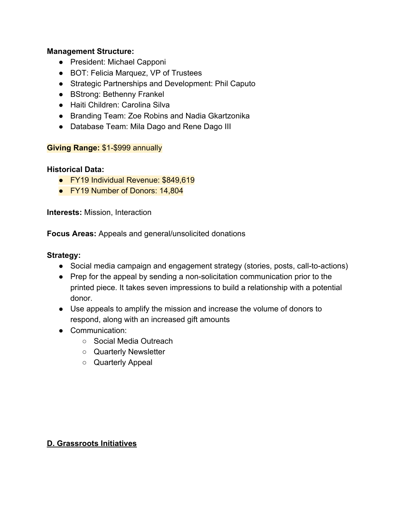#### **Management Structure:**

- President: Michael Capponi
- BOT: Felicia Marquez, VP of Trustees
- Strategic Partnerships and Development: Phil Caputo
- BStrong: Bethenny Frankel
- Haiti Children: Carolina Silva
- Branding Team: Zoe Robins and Nadia Gkartzonika
- Database Team: Mila Dago and Rene Dago III

### **Giving Range:** \$1-\$999 annually

### **Historical Data:**

- FY19 Individual Revenue: \$849,619
- FY19 Number of Donors: 14,804

**Interests:** Mission, Interaction

**Focus Areas:** Appeals and general/unsolicited donations

#### **Strategy:**

- Social media campaign and engagement strategy (stories, posts, call-to-actions)
- Prep for the appeal by sending a non-solicitation communication prior to the printed piece. It takes seven impressions to build a relationship with a potential donor.
- Use appeals to amplify the mission and increase the volume of donors to respond, along with an increased gift amounts
- Communication:
	- Social Media Outreach
	- Quarterly Newsletter
	- Quarterly Appeal

### **D. Grassroots Initiatives**